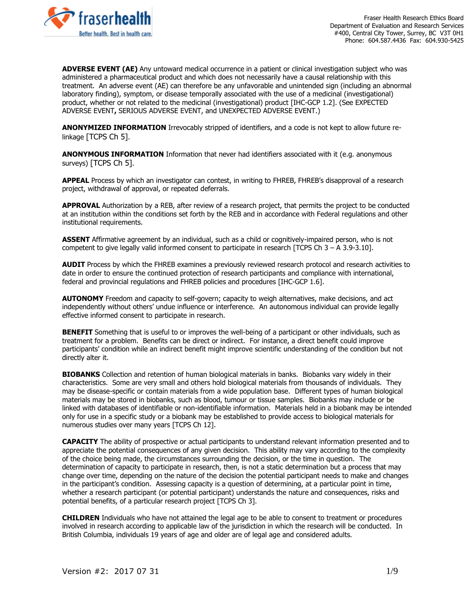

**ADVERSE EVENT (AE)** Any untoward medical occurrence in a patient or clinical investigation subject who was administered a pharmaceutical product and which does not necessarily have a causal relationship with this treatment. An adverse event (AE) can therefore be any unfavorable and unintended sign (including an abnormal laboratory finding), symptom, or disease temporally associated with the use of a medicinal (investigational) product, whether or not related to the medicinal (investigational) product [IHC-GCP 1.2]. (See EXPECTED ADVERSE EVENT**,** SERIOUS ADVERSE EVENT, and UNEXPECTED ADVERSE EVENT.)

**ANONYMIZED INFORMATION** Irrevocably stripped of identifiers, and a code is not kept to allow future relinkage [TCPS Ch 5].

**ANONYMOUS INFORMATION** Information that never had identifiers associated with it (e.g. anonymous surveys) [TCPS Ch 5].

**APPEAL** Process by which an investigator can contest, in writing to FHREB, FHREB's disapproval of a research project, withdrawal of approval, or repeated deferrals.

**APPROVAL** Authorization by a REB, after review of a research project, that permits the project to be conducted at an institution within the conditions set forth by the REB and in accordance with Federal regulations and other institutional requirements.

**ASSENT** Affirmative agreement by an individual, such as a child or cognitively-impaired person, who is not competent to give legally valid informed consent to participate in research [TCPS Ch 3 – A 3.9-3.10].

**AUDIT** Process by which the FHREB examines a previously reviewed research protocol and research activities to date in order to ensure the continued protection of research participants and compliance with international, federal and provincial regulations and FHREB policies and procedures [IHC-GCP 1.6].

**AUTONOMY** Freedom and capacity to self-govern; capacity to weigh alternatives, make decisions, and act independently without others' undue influence or interference. An autonomous individual can provide legally effective informed consent to participate in research.

**BENEFIT** Something that is useful to or improves the well-being of a participant or other individuals, such as treatment for a problem. Benefits can be direct or indirect. For instance, a direct benefit could improve participants' condition while an indirect benefit might improve scientific understanding of the condition but not directly alter it.

**BIOBANKS** Collection and retention of human biological materials in banks. Biobanks vary widely in their characteristics. Some are very small and others hold biological materials from thousands of individuals. They may be disease-specific or contain materials from a wide population base. Different types of human biological materials may be stored in biobanks, such as blood, tumour or tissue samples. Biobanks may include or be linked with databases of identifiable or non-identifiable information. Materials held in a biobank may be intended only for use in a specific study or a biobank may be established to provide access to biological materials for numerous studies over many years [TCPS Ch 12].

**CAPACITY** The ability of prospective or actual participants to understand relevant information presented and to appreciate the potential consequences of any given decision. This ability may vary according to the complexity of the choice being made, the circumstances surrounding the decision, or the time in question. The determination of capacity to participate in research, then, is not a static determination but a process that may change over time, depending on the nature of the decision the potential participant needs to make and changes in the participant's condition. Assessing capacity is a question of determining, at a particular point in time, whether a research participant (or potential participant) understands the nature and consequences, risks and potential benefits, of a particular research project [TCPS Ch 3].

**CHILDREN** Individuals who have not attained the legal age to be able to consent to treatment or procedures involved in research according to applicable law of the jurisdiction in which the research will be conducted. In British Columbia, individuals 19 years of age and older are of legal age and considered adults.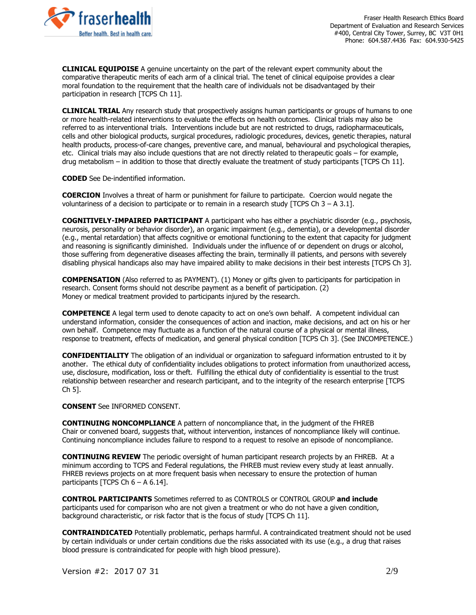

**CLINICAL EQUIPOISE** A genuine uncertainty on the part of the relevant expert community about the comparative therapeutic merits of each arm of a clinical trial. The tenet of clinical equipoise provides a clear moral foundation to the requirement that the health care of individuals not be disadvantaged by their participation in research [TCPS Ch 11].

**CLINICAL TRIAL** Any research study that prospectively assigns human participants or groups of humans to one or more health-related interventions to evaluate the effects on health outcomes. Clinical trials may also be referred to as interventional trials. Interventions include but are not restricted to drugs, radiopharmaceuticals, cells and other biological products, surgical procedures, radiologic procedures, devices, genetic therapies, natural health products, process-of-care changes, preventive care, and manual, behavioural and psychological therapies, etc. Clinical trials may also include questions that are not directly related to therapeutic goals – for example, drug metabolism – in addition to those that directly evaluate the treatment of study participants [TCPS Ch 11].

**CODED** See De-indentified information.

**COERCION** Involves a threat of harm or punishment for failure to participate. Coercion would negate the voluntariness of a decision to participate or to remain in a research study [TCPS Ch  $3 - A 3.1$ ].

**COGNITIVELY-IMPAIRED PARTICIPANT** A participant who has either a psychiatric disorder (e.g., psychosis, neurosis, personality or behavior disorder), an organic impairment (e.g., dementia), or a developmental disorder (e.g., mental retardation) that affects cognitive or emotional functioning to the extent that capacity for judgment and reasoning is significantly diminished. Individuals under the influence of or dependent on drugs or alcohol, those suffering from degenerative diseases affecting the brain, terminally ill patients, and persons with severely disabling physical handicaps also may have impaired ability to make decisions in their best interests [TCPS Ch 3].

**COMPENSATION** (Also referred to as PAYMENT). (1) Money or gifts given to participants for participation in research. Consent forms should not describe payment as a benefit of participation. (2) Money or medical treatment provided to participants injured by the research.

**COMPETENCE** A legal term used to denote capacity to act on one's own behalf. A competent individual can understand information, consider the consequences of action and inaction, make decisions, and act on his or her own behalf. Competence may fluctuate as a function of the natural course of a physical or mental illness, response to treatment, effects of medication, and general physical condition [TCPS Ch 3]. (See INCOMPETENCE.)

**CONFIDENTIALITY** The obligation of an individual or organization to safeguard information entrusted to it by another. The ethical duty of confidentiality includes obligations to protect information from unauthorized access, use, disclosure, modification, loss or theft. Fulfilling the ethical duty of confidentiality is essential to the trust relationship between researcher and research participant, and to the integrity of the research enterprise [TCPS Ch 5].

**CONSENT** See INFORMED CONSENT.

**CONTINUING NONCOMPLIANCE** A pattern of noncompliance that, in the judgment of the FHREB Chair or convened board, suggests that, without intervention, instances of noncompliance likely will continue. Continuing noncompliance includes failure to respond to a request to resolve an episode of noncompliance.

**CONTINUING REVIEW** The periodic oversight of human participant research projects by an FHREB. At a minimum according to TCPS and Federal regulations, the FHREB must review every study at least annually. FHREB reviews projects on at more frequent basis when necessary to ensure the protection of human participants [TCPS Ch  $6 - A 6.14$ ].

**CONTROL PARTICIPANTS** Sometimes referred to as CONTROLS or CONTROL GROUP **and include**  participants used for comparison who are not given a treatment or who do not have a given condition, background characteristic, or risk factor that is the focus of study [TCPS Ch 11].

**CONTRAINDICATED** Potentially problematic, perhaps harmful. A contraindicated treatment should not be used by certain individuals or under certain conditions due the risks associated with its use (e.g., a drug that raises blood pressure is contraindicated for people with high blood pressure).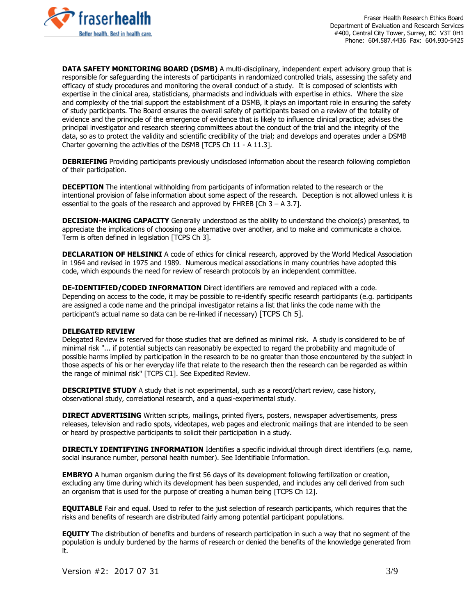

**DATA SAFETY MONITORING BOARD (DSMB)** A multi-disciplinary, independent expert advisory group that is responsible for safeguarding the interests of participants in randomized controlled trials, assessing the safety and efficacy of study procedures and monitoring the overall conduct of a study. It is composed of scientists with expertise in the clinical area, statisticians, pharmacists and individuals with expertise in ethics. Where the size and complexity of the trial support the establishment of a DSMB, it plays an important role in ensuring the safety of study participants. The Board ensures the overall safety of participants based on a review of the totality of evidence and the principle of the emergence of evidence that is likely to influence clinical practice; advises the principal investigator and research steering committees about the conduct of the trial and the integrity of the data, so as to protect the validity and scientific credibility of the trial; and develops and operates under a DSMB Charter governing the activities of the DSMB [TCPS Ch 11 - A 11.3].

**DEBRIEFING** Providing participants previously undisclosed information about the research following completion of their participation.

**DECEPTION** The intentional withholding from participants of information related to the research or the intentional provision of false information about some aspect of the research. Deception is not allowed unless it is essential to the goals of the research and approved by FHREB  $[Ch 3 - A 3.7]$ .

**DECISION-MAKING CAPACITY** Generally understood as the ability to understand the choice(s) presented, to appreciate the implications of choosing one alternative over another, and to make and communicate a choice. Term is often defined in legislation [TCPS Ch 3].

**DECLARATION OF HELSINKI** A code of ethics for clinical research, approved by the World Medical Association in 1964 and revised in 1975 and 1989. Numerous medical associations in many countries have adopted this code, which expounds the need for review of research protocols by an independent committee.

**DE-IDENTIFIED/CODED INFORMATION** Direct identifiers are removed and replaced with a code. Depending on access to the code, it may be possible to re-identify specific research participants (e.g. participants are assigned a code name and the principal investigator retains a list that links the code name with the participant's actual name so data can be re-linked if necessary) [TCPS Ch 5].

## **DELEGATED REVIEW**

Delegated Review is reserved for those studies that are defined as minimal risk. A study is considered to be of minimal risk "... if potential subjects can reasonably be expected to regard the probability and magnitude of possible harms implied by participation in the research to be no greater than those encountered by the subject in those aspects of his or her everyday life that relate to the research then the research can be regarded as within the range of minimal risk" [TCPS C1]. See Expedited Review.

**DESCRIPTIVE STUDY** A study that is not experimental, such as a record/chart review, case history, observational study, correlational research, and a quasi-experimental study.

**DIRECT ADVERTISING** Written scripts, mailings, printed flyers, posters, newspaper advertisements, press releases, television and radio spots, videotapes, web pages and electronic mailings that are intended to be seen or heard by prospective participants to solicit their participation in a study.

**DIRECTLY IDENTIFYING INFORMATION** Identifies a specific individual through direct identifiers (e.g. name, social insurance number, personal health number). See Identifiable Information.

**EMBRYO** A human organism during the first 56 days of its development following fertilization or creation, excluding any time during which its development has been suspended, and includes any cell derived from such an organism that is used for the purpose of creating a human being [TCPS Ch 12].

**EQUITABLE** Fair and equal. Used to refer to the just selection of research participants, which requires that the risks and benefits of research are distributed fairly among potential participant populations.

**EQUITY** The distribution of benefits and burdens of research participation in such a way that no segment of the population is unduly burdened by the harms of research or denied the benefits of the knowledge generated from it.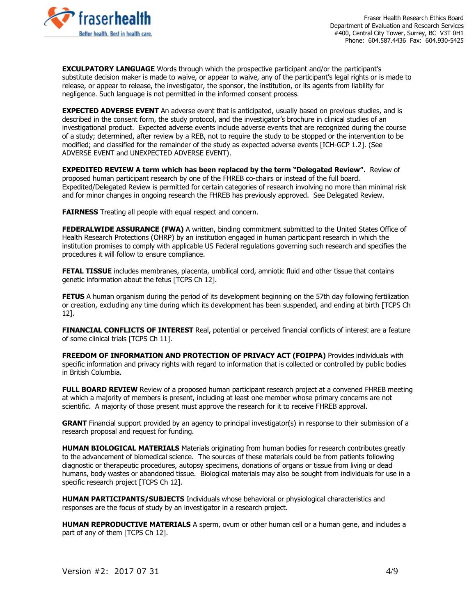

Fraser Health Research Ethics Board Department of Evaluation and Research Services #400, Central City Tower, Surrey, BC V3T 0H1 Phone: 604.587.4436 Fax: 604.930-5425

**EXCULPATORY LANGUAGE** Words through which the prospective participant and/or the participant's substitute decision maker is made to waive, or appear to waive, any of the participant's legal rights or is made to release, or appear to release, the investigator, the sponsor, the institution, or its agents from liability for negligence. Such language is not permitted in the informed consent process.

**EXPECTED ADVERSE EVENT** An adverse event that is anticipated, usually based on previous studies, and is described in the consent form, the study protocol, and the investigator's brochure in clinical studies of an investigational product. Expected adverse events include adverse events that are recognized during the course of a study; determined, after review by a REB, not to require the study to be stopped or the intervention to be modified; and classified for the remainder of the study as expected adverse events [ICH-GCP 1.2]. (See ADVERSE EVENT and UNEXPECTED ADVERSE EVENT).

**EXPEDITED REVIEW A term which has been replaced by the term "Delegated Review".** Review of proposed human participant research by one of the FHREB co-chairs or instead of the full board. Expedited/Delegated Review is permitted for certain categories of research involving no more than minimal risk and for minor changes in ongoing research the FHREB has previously approved. See Delegated Review.

**FAIRNESS** Treating all people with equal respect and concern.

**FEDERALWIDE ASSURANCE (FWA)** A written, binding commitment submitted to the United States Office of Health Research Protections (OHRP) by an institution engaged in human participant research in which the institution promises to comply with applicable US Federal regulations governing such research and specifies the procedures it will follow to ensure compliance.

**FETAL TISSUE** includes membranes, placenta, umbilical cord, amniotic fluid and other tissue that contains genetic information about the fetus [TCPS Ch 12].

**FETUS** A human organism during the period of its development beginning on the 57th day following fertilization or creation, excluding any time during which its development has been suspended, and ending at birth [TCPS Ch 12].

**FINANCIAL CONFLICTS OF INTEREST** Real, potential or perceived financial conflicts of interest are a feature of some clinical trials [TCPS Ch 11].

**FREEDOM OF INFORMATION AND PROTECTION OF PRIVACY ACT (FOIPPA)** Provides individuals with specific information and privacy rights with regard to information that is collected or controlled by public bodies in British Columbia.

**FULL BOARD REVIEW** Review of a proposed human participant research project at a convened FHREB meeting at which a majority of members is present, including at least one member whose primary concerns are not scientific. A majority of those present must approve the research for it to receive FHREB approval.

**GRANT** Financial support provided by an agency to principal investigator(s) in response to their submission of a research proposal and request for funding.

**HUMAN BIOLOGICAL MATERIALS** Materials originating from human bodies for research contributes greatly to the advancement of biomedical science. The sources of these materials could be from patients following diagnostic or therapeutic procedures, autopsy specimens, donations of organs or tissue from living or dead humans, body wastes or abandoned tissue. Biological materials may also be sought from individuals for use in a specific research project [TCPS Ch 12].

**HUMAN PARTICIPANTS/SUBJECTS** Individuals whose behavioral or physiological characteristics and responses are the focus of study by an investigator in a research project.

**HUMAN REPRODUCTIVE MATERIALS** A sperm, ovum or other human cell or a human gene, and includes a part of any of them [TCPS Ch 12].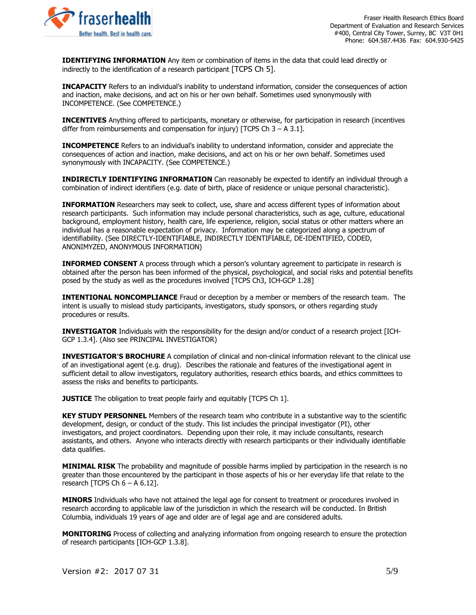

**IDENTIFYING INFORMATION** Any item or combination of items in the data that could lead directly or indirectly to the identification of a research participant [TCPS Ch 5].

**INCAPACITY** Refers to an individual's inability to understand information, consider the consequences of action and inaction, make decisions, and act on his or her own behalf. Sometimes used synonymously with INCOMPETENCE. (See COMPETENCE.)

**INCENTIVES** Anything offered to participants, monetary or otherwise, for participation in research (incentives differ from reimbursements and compensation for injury) [TCPS Ch  $3 - A 3.1$ ].

**INCOMPETENCE** Refers to an individual's inability to understand information, consider and appreciate the consequences of action and inaction, make decisions, and act on his or her own behalf. Sometimes used synonymously with INCAPACITY. (See COMPETENCE.)

**INDIRECTLY IDENTIFYING INFORMATION** Can reasonably be expected to identify an individual through a combination of indirect identifiers (e.g. date of birth, place of residence or unique personal characteristic).

**INFORMATION** Researchers may seek to collect, use, share and access different types of information about research participants. Such information may include personal characteristics, such as age, culture, educational background, employment history, health care, life experience, religion, social status or other matters where an individual has a reasonable expectation of privacy. Information may be categorized along a spectrum of identifiability. (See DIRECTLY-IDENTIFIABLE, INDIRECTLY IDENTIFIABLE, DE-IDENTIFIED, CODED, ANONIMYZED, ANONYMOUS INFORMATION)

**INFORMED CONSENT** A process through which a person's voluntary agreement to participate in research is obtained after the person has been informed of the physical, psychological, and social risks and potential benefits posed by the study as well as the procedures involved [TCPS Ch3, ICH-GCP 1.28]

**INTENTIONAL NONCOMPLIANCE** Fraud or deception by a member or members of the research team. The intent is usually to mislead study participants, investigators, study sponsors, or others regarding study procedures or results.

**INVESTIGATOR** Individuals with the responsibility for the design and/or conduct of a research project [ICH-GCP 1.3.4]. (Also see PRINCIPAL INVESTIGATOR)

**INVESTIGATOR'S BROCHURE** A compilation of clinical and non-clinical information relevant to the clinical use of an investigational agent (e.g. drug). Describes the rationale and features of the investigational agent in sufficient detail to allow investigators, regulatory authorities, research ethics boards, and ethics committees to assess the risks and benefits to participants.

**JUSTICE** The obligation to treat people fairly and equitably [TCPS Ch 1].

**KEY STUDY PERSONNEL** Members of the research team who contribute in a substantive way to the scientific development, design, or conduct of the study. This list includes the principal investigator (PI), other investigators, and project coordinators. Depending upon their role, it may include consultants, research assistants, and others. Anyone who interacts directly with research participants or their individually identifiable data qualifies.

**MINIMAL RISK** The probability and magnitude of possible harms implied by participation in the research is no greater than those encountered by the participant in those aspects of his or her everyday life that relate to the research [TCPS Ch  $6 - A 6.12$ ].

**MINORS** Individuals who have not attained the legal age for consent to treatment or procedures involved in research according to applicable law of the jurisdiction in which the research will be conducted. In British Columbia, individuals 19 years of age and older are of legal age and are considered adults.

**MONITORING** Process of collecting and analyzing information from ongoing research to ensure the protection of research participants [ICH-GCP 1.3.8].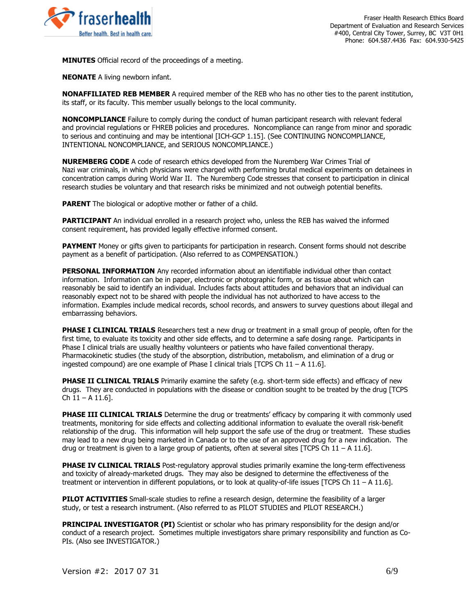

**MINUTES** Official record of the proceedings of a meeting.

**NEONATE** A living newborn infant.

**NONAFFILIATED REB MEMBER** A required member of the REB who has no other ties to the parent institution, its staff, or its faculty. This member usually belongs to the local community.

**NONCOMPLIANCE** Failure to comply during the conduct of human participant research with relevant federal and provincial regulations or FHREB policies and procedures. Noncompliance can range from minor and sporadic to serious and continuing and may be intentional [ICH-GCP 1.15]. (See CONTINUING NONCOMPLIANCE, INTENTIONAL NONCOMPLIANCE, and SERIOUS NONCOMPLIANCE.)

**NUREMBERG CODE** A code of research ethics developed from the Nuremberg War Crimes Trial of Nazi war criminals, in which physicians were charged with performing brutal medical experiments on detainees in concentration camps during World War II. The Nuremberg Code stresses that consent to participation in clinical research studies be voluntary and that research risks be minimized and not outweigh potential benefits.

**PARENT** The biological or adoptive mother or father of a child.

**PARTICIPANT** An individual enrolled in a research project who, unless the REB has waived the informed consent requirement, has provided legally effective informed consent.

**PAYMENT** Money or gifts given to participants for participation in research. Consent forms should not describe payment as a benefit of participation. (Also referred to as COMPENSATION.)

**PERSONAL INFORMATION** Any recorded information about an identifiable individual other than contact information. Information can be in paper, electronic or photographic form, or as tissue about which can reasonably be said to identify an individual. Includes facts about attitudes and behaviors that an individual can reasonably expect not to be shared with people the individual has not authorized to have access to the information. Examples include medical records, school records, and answers to survey questions about illegal and embarrassing behaviors.

**PHASE I CLINICAL TRIALS** Researchers test a new drug or treatment in a small group of people, often for the first time, to evaluate its toxicity and other side effects, and to determine a safe dosing range. Participants in Phase I clinical trials are usually healthy volunteers or patients who have failed conventional therapy. Pharmacokinetic studies (the study of the absorption, distribution, metabolism, and elimination of a drug or ingested compound) are one example of Phase I clinical trials [TCPS Ch  $11 - A 11.6$ ].

**PHASE II CLINICAL TRIALS** Primarily examine the safety (e.g. short-term side effects) and efficacy of new drugs. They are conducted in populations with the disease or condition sought to be treated by the drug [TCPS  $Ch$  11 – A 11.6].

**PHASE III CLINICAL TRIALS** Determine the drug or treatments' efficacy by comparing it with commonly used treatments, monitoring for side effects and collecting additional information to evaluate the overall risk-benefit relationship of the drug. This information will help support the safe use of the drug or treatment. These studies may lead to a new drug being marketed in Canada or to the use of an approved drug for a new indication. The drug or treatment is given to a large group of patients, often at several sites [TCPS Ch  $11 - A 11.6$ ].

**PHASE IV CLINICAL TRIALS** Post-regulatory approval studies primarily examine the long-term effectiveness and toxicity of already-marketed drugs. They may also be designed to determine the effectiveness of the treatment or intervention in different populations, or to look at quality-of-life issues [TCPS Ch 11 – A 11.6].

**PILOT ACTIVITIES** Small-scale studies to refine a research design, determine the feasibility of a larger study, or test a research instrument. (Also referred to as PILOT STUDIES and PILOT RESEARCH.)

**PRINCIPAL INVESTIGATOR (PI)** Scientist or scholar who has primary responsibility for the design and/or conduct of a research project. Sometimes multiple investigators share primary responsibility and function as Co-PIs. (Also see INVESTIGATOR.)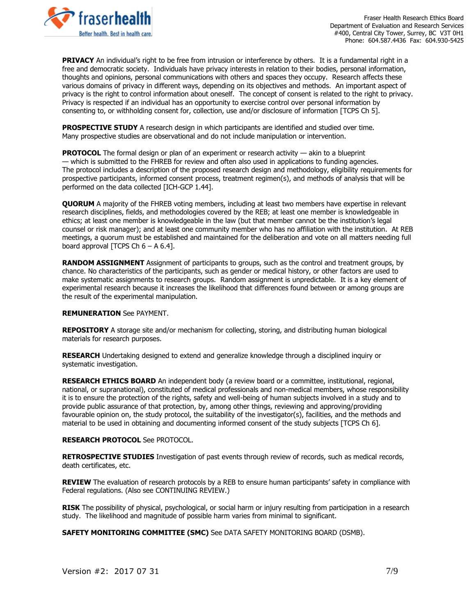

Fraser Health Research Ethics Board Department of Evaluation and Research Services #400, Central City Tower, Surrey, BC V3T 0H1 Phone: 604.587.4436 Fax: 604.930-5425

**PRIVACY** An individual's right to be free from intrusion or interference by others. It is a fundamental right in a free and democratic society. Individuals have privacy interests in relation to their bodies, personal information, thoughts and opinions, personal communications with others and spaces they occupy. Research affects these various domains of privacy in different ways, depending on its objectives and methods. An important aspect of privacy is the right to control information about oneself. The concept of consent is related to the right to privacy. Privacy is respected if an individual has an opportunity to exercise control over personal information by consenting to, or withholding consent for, collection, use and/or disclosure of information [TCPS Ch 5].

**PROSPECTIVE STUDY** A research design in which participants are identified and studied over time. Many prospective studies are observational and do not include manipulation or intervention.

**PROTOCOL** The formal design or plan of an experiment or research activity — akin to a blueprint — which is submitted to the FHREB for review and often also used in applications to funding agencies. The protocol includes a description of the proposed research design and methodology, eligibility requirements for prospective participants, informed consent process, treatment regimen(s), and methods of analysis that will be performed on the data collected [ICH-GCP 1.44].

**QUORUM** A majority of the FHREB voting members, including at least two members have expertise in relevant research disciplines, fields, and methodologies covered by the REB; at least one member is knowledgeable in ethics; at least one member is knowledgeable in the law (but that member cannot be the institution's legal counsel or risk manager); and at least one community member who has no affiliation with the institution. At REB meetings, a quorum must be established and maintained for the deliberation and vote on all matters needing full board approval [TCPS Ch  $6 - A 6.4$ ].

**RANDOM ASSIGNMENT** Assignment of participants to groups, such as the control and treatment groups, by chance. No characteristics of the participants, such as gender or medical history, or other factors are used to make systematic assignments to research groups. Random assignment is unpredictable. It is a key element of experimental research because it increases the likelihood that differences found between or among groups are the result of the experimental manipulation.

## **REMUNERATION** See PAYMENT.

**REPOSITORY** A storage site and/or mechanism for collecting, storing, and distributing human biological materials for research purposes.

**RESEARCH** Undertaking designed to extend and generalize knowledge through a disciplined inquiry or systematic investigation.

**RESEARCH ETHICS BOARD** An independent body (a review board or a committee, institutional, regional, national, or supranational), constituted of medical professionals and non-medical members, whose responsibility it is to ensure the protection of the rights, safety and well-being of human subjects involved in a study and to provide public assurance of that protection, by, among other things, reviewing and approving/providing favourable opinion on, the study protocol, the suitability of the investigator(s), facilities, and the methods and material to be used in obtaining and documenting informed consent of the study subjects [TCPS Ch 6].

## **RESEARCH PROTOCOL** See PROTOCOL.

**RETROSPECTIVE STUDIES** Investigation of past events through review of records, such as medical records, death certificates, etc.

**REVIEW** The evaluation of research protocols by a REB to ensure human participants' safety in compliance with Federal regulations. (Also see CONTINUING REVIEW.)

**RISK** The possibility of physical, psychological, or social harm or injury resulting from participation in a research study. The likelihood and magnitude of possible harm varies from minimal to significant.

**SAFETY MONITORING COMMITTEE (SMC)** See DATA SAFETY MONITORING BOARD (DSMB).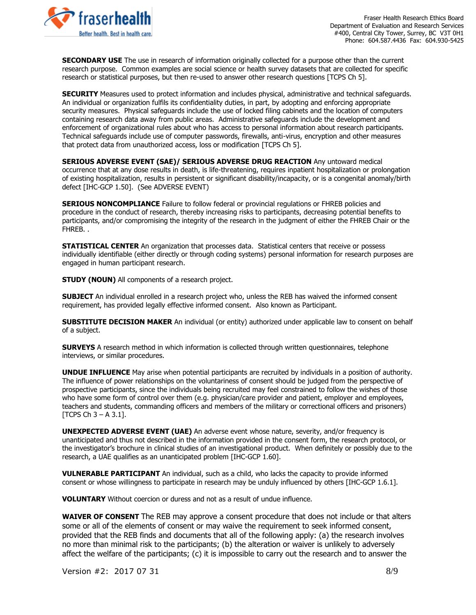

Fraser Health Research Ethics Board Department of Evaluation and Research Services #400, Central City Tower, Surrey, BC V3T 0H1 Phone: 604.587.4436 Fax: 604.930-5425

**SECONDARY USE** The use in research of information originally collected for a purpose other than the current research purpose. Common examples are social science or health survey datasets that are collected for specific research or statistical purposes, but then re-used to answer other research questions [TCPS Ch 5].

**SECURITY** Measures used to protect information and includes physical, administrative and technical safeguards. An individual or organization fulfils its confidentiality duties, in part, by adopting and enforcing appropriate security measures. Physical safeguards include the use of locked filing cabinets and the location of computers containing research data away from public areas. Administrative safeguards include the development and enforcement of organizational rules about who has access to personal information about research participants. Technical safeguards include use of computer passwords, firewalls, anti-virus, encryption and other measures that protect data from unauthorized access, loss or modification [TCPS Ch 5].

**SERIOUS ADVERSE EVENT (SAE)/ SERIOUS ADVERSE DRUG REACTION** Any untoward medical occurrence that at any dose results in death, is life-threatening, requires inpatient hospitalization or prolongation of existing hospitalization, results in persistent or significant disability/incapacity, or is a congenital anomaly/birth defect [IHC-GCP 1.50]. (See ADVERSE EVENT)

**SERIOUS NONCOMPLIANCE** Failure to follow federal or provincial regulations or FHREB policies and procedure in the conduct of research, thereby increasing risks to participants, decreasing potential benefits to participants, and/or compromising the integrity of the research in the judgment of either the FHREB Chair or the FHREB. .

**STATISTICAL CENTER** An organization that processes data. Statistical centers that receive or possess individually identifiable (either directly or through coding systems) personal information for research purposes are engaged in human participant research.

**STUDY (NOUN)** All components of a research project.

**SUBJECT** An individual enrolled in a research project who, unless the REB has waived the informed consent requirement, has provided legally effective informed consent. Also known as Participant.

**SUBSTITUTE DECISION MAKER** An individual (or entity) authorized under applicable law to consent on behalf of a subject.

**SURVEYS** A research method in which information is collected through written questionnaires, telephone interviews, or similar procedures.

**UNDUE INFLUENCE** May arise when potential participants are recruited by individuals in a position of authority. The influence of power relationships on the voluntariness of consent should be judged from the perspective of prospective participants, since the individuals being recruited may feel constrained to follow the wishes of those who have some form of control over them (e.g. physician/care provider and patient, employer and employees, teachers and students, commanding officers and members of the military or correctional officers and prisoners) [TCPS Ch  $3 - A 3.1$ ].

**UNEXPECTED ADVERSE EVENT (UAE)** An adverse event whose nature, severity, and/or frequency is unanticipated and thus not described in the information provided in the consent form, the research protocol, or the investigator's brochure in clinical studies of an investigational product. When definitely or possibly due to the research, a UAE qualifies as an unanticipated problem [IHC-GCP 1.60].

**VULNERABLE PARTICIPANT** An individual, such as a child, who lacks the capacity to provide informed consent or whose willingness to participate in research may be unduly influenced by others [IHC-GCP 1.6.1].

**VOLUNTARY** Without coercion or duress and not as a result of undue influence.

**WAIVER OF CONSENT** The REB may approve a consent procedure that does not include or that alters some or all of the elements of consent or may waive the requirement to seek informed consent, provided that the REB finds and documents that all of the following apply: (a) the research involves no more than minimal risk to the participants; (b) the alteration or waiver is unlikely to adversely affect the welfare of the participants; (c) it is impossible to carry out the research and to answer the